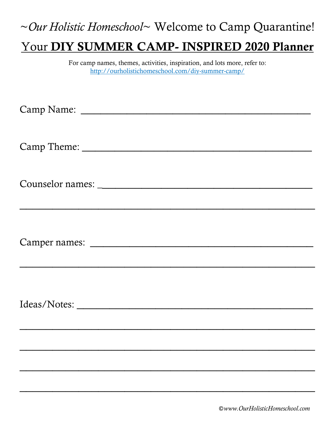## ~*Our Holistic Homeschool*~ Welcome to Camp Quarantine! Your DIY SUMMER CAMP- INSPIRED 2020 Planner

For camp names, themes, activities, inspiration, and lots more, refer to: http://ourholistichomeschool.com/diy-summer-camp/

 $\overline{\phantom{a}}$  , and the contract of the contract of the contract of the contract of the contract of the contract of the contract of the contract of the contract of the contract of the contract of the contract of the contrac

©*www.OurHolisticHomeschool.com*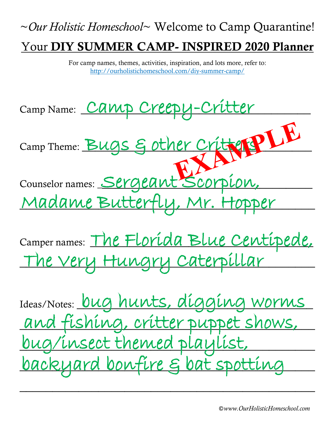# ~*Our Holistic Homeschool*~ Welcome to Camp Quarantine! Your DIY SUMMER CAMP- INSPIRED 2020 Planner

For camp names, themes, activities, inspiration, and lots more, refer to: http://ourholistichomeschool.com/diy-summer-camp/



Ideas/Notes: <u>bug hunts, digging worms</u> and fishing, critter puppet shows, \_\_\_\_\_\_\_\_\_\_\_\_\_\_\_\_\_\_\_\_\_\_\_\_\_\_\_\_\_\_\_\_\_\_\_\_\_\_\_\_\_\_\_\_\_ bug/insect themed playlist, \_\_\_\_\_\_\_\_\_\_\_\_\_\_\_\_\_\_\_\_\_\_\_\_\_\_\_\_\_\_\_\_\_\_\_\_\_\_\_\_\_\_\_\_\_ backyard bonfire & bat spotting  $\overline{\phantom{a}}$  , and the contract of the contract of the contract of the contract of the contract of the contract of the contract of the contract of the contract of the contract of the contract of the contract of the contrac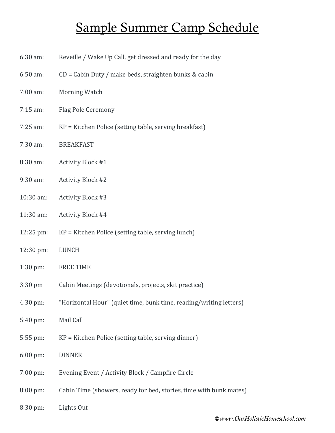#### Sample Summer Camp Schedule

- 6:30 am: Reveille / Wake Up Call, get dressed and ready for the day
- 6:50 am: CD = Cabin Duty / make beds, straighten bunks & cabin
- 7:00 am: Morning Watch
- 7:15 am: Flag Pole Ceremony
- 7:25 am: KP = Kitchen Police (setting table, serving breakfast)
- 7:30 am: BREAKFAST
- 8:30 am: Activity Block #1
- 9:30 am: Activity Block #2
- 10:30 am: Activity Block #3
- 11:30 am: Activity Block #4
- 12:25 pm: KP = Kitchen Police (setting table, serving lunch)
- 12:30 pm: LUNCH
- 1:30 pm: FREE TIME
- 3:30 pm Cabin Meetings (devotionals, projects, skit practice)
- 4:30 pm: "Horizontal Hour" (quiet time, bunk time, reading/writing letters)
- 5:40 pm: Mail Call
- 5:55 pm: KP = Kitchen Police (setting table, serving dinner)
- 6:00 pm: DINNER
- 7:00 pm: Evening Event / Activity Block / Campfire Circle
- 8:00 pm: Cabin Time (showers, ready for bed, stories, time with bunk mates)
- 8:30 pm: Lights Out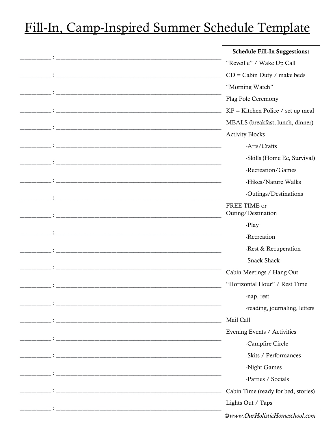### Fill-In, Camp-Inspired Summer Schedule Template

|                                                                                                                      | <b>Schedule Fill-In Suggestions:</b> |
|----------------------------------------------------------------------------------------------------------------------|--------------------------------------|
|                                                                                                                      | "Reveille" / Wake Up Call            |
|                                                                                                                      | $CD =$ Cabin Duty / make beds        |
|                                                                                                                      | "Morning Watch"                      |
|                                                                                                                      | Flag Pole Ceremony                   |
|                                                                                                                      | $KP =$ Kitchen Police / set up meal  |
|                                                                                                                      | MEALS (breakfast, lunch, dinner)     |
|                                                                                                                      | <b>Activity Blocks</b>               |
|                                                                                                                      | -Arts/Crafts                         |
|                                                                                                                      | -Skills (Home Ec, Survival)          |
|                                                                                                                      | -Recreation/Games                    |
|                                                                                                                      | -Hikes/Nature Walks                  |
| <u> 1980 - Jan Stein, Amerikaansk konstantinopler († 1908)</u>                                                       | -Outings/Destinations                |
|                                                                                                                      | FREE TIME or<br>Outing/Destination   |
|                                                                                                                      | -Play                                |
|                                                                                                                      | -Recreation                          |
|                                                                                                                      | -Rest & Recuperation                 |
|                                                                                                                      | -Snack Shack                         |
|                                                                                                                      | Cabin Meetings / Hang Out            |
|                                                                                                                      | "Horizontal Hour" / Rest Time        |
|                                                                                                                      | -nap, rest                           |
|                                                                                                                      | -reading, journaling, letters        |
|                                                                                                                      | Mail Call                            |
|                                                                                                                      | Evening Events / Activities          |
| <u> 1999 - Jan James James Barnett, fransk politik (d. 1989)</u>                                                     | -Campfire Circle                     |
|                                                                                                                      | -Skits / Performances                |
|                                                                                                                      | -Night Games                         |
| <u> 2000 - 2001 - 2002 - 2003 - 2004 - 2005 - 2006 - 2007 - 2008 - 2009 - 2009 - 2009 - 2009 - 2009 - 2009 - 200</u> | -Parties / Socials                   |
|                                                                                                                      | Cabin Time (ready for bed, stories)  |
|                                                                                                                      | Lights Out / Taps                    |
|                                                                                                                      |                                      |

©www.OurHolisticHomeschool.com